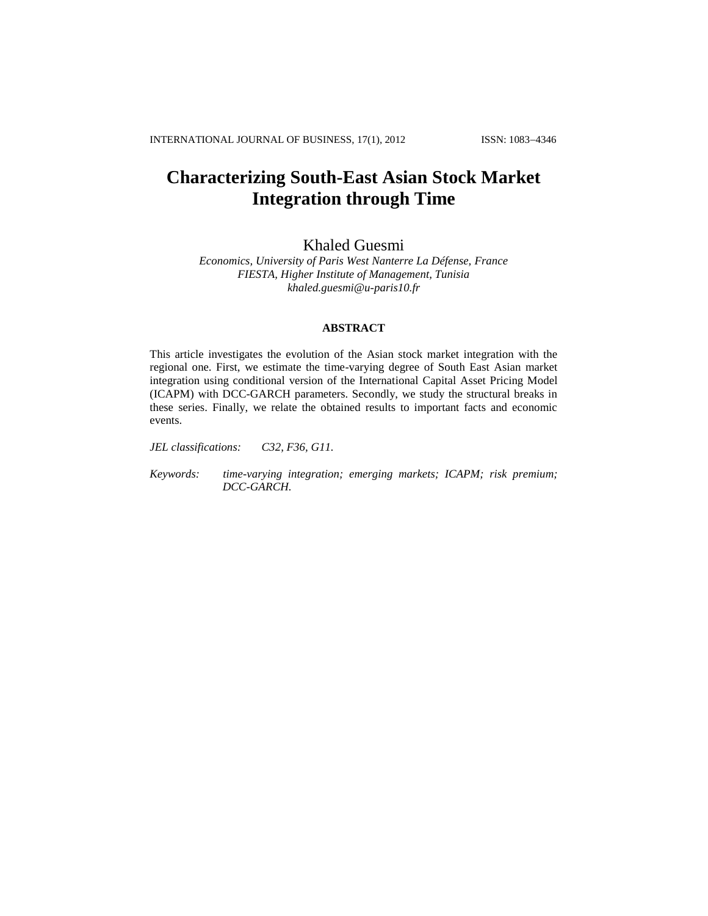# **Characterizing South-East Asian Stock Market Integration through Time**

# Khaled Guesmi

*Economics, University of Paris West Nanterre La Défense, France FIESTA, Higher Institute of Management, Tunisia [khaled.guesmi@u-paris10.fr](mailto:khaled.guesmi@u-paris10.fr)*

# **ABSTRACT**

This article investigates the evolution of the Asian stock market integration with the regional one. First, we estimate the time-varying degree of South East Asian market integration using conditional version of the International Capital Asset Pricing Model (ICAPM) with DCC-GARCH parameters. Secondly, we study the structural breaks in these series. Finally, we relate the obtained results to important facts and economic events.

*JEL classifications: C32, F36, G11.*

*Keywords: time-varying integration; emerging markets; ICAPM; risk premium; DCC-GARCH.*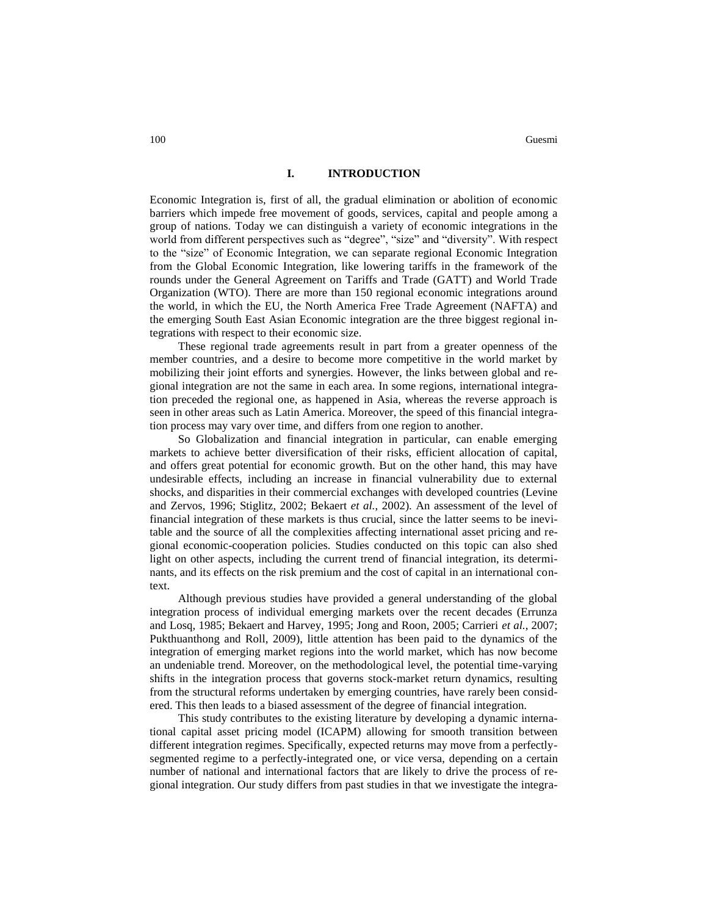## **I. INTRODUCTION**

Economic Integration is, first of all, the gradual elimination or abolition of economic barriers which impede free movement of goods, services, capital and people among a group of nations. Today we can distinguish a variety of economic integrations in the world from different perspectives such as "degree", "size" and "diversity". With respect to the "size" of Economic Integration, we can separate regional Economic Integration from the Global Economic Integration, like lowering tariffs in the framework of the rounds under the General Agreement on Tariffs and Trade (GATT) and World Trade Organization (WTO). There are more than 150 regional economic integrations around the world, in which the EU, the North America Free Trade Agreement (NAFTA) and the emerging South East Asian Economic integration are the three biggest regional integrations with respect to their economic size.

These regional trade agreements result in part from a greater openness of the member countries, and a desire to become more competitive in the world market by mobilizing their joint efforts and synergies. However, the links between global and regional integration are not the same in each area. In some regions, international integration preceded the regional one, as happened in Asia, whereas the reverse approach is seen in other areas such as Latin America. Moreover, the speed of this financial integration process may vary over time, and differs from one region to another.

So Globalization and financial integration in particular, can enable emerging markets to achieve better diversification of their risks, efficient allocation of capital, and offers great potential for economic growth. But on the other hand, this may have undesirable effects, including an increase in financial vulnerability due to external shocks, and disparities in their commercial exchanges with developed countries (Levine and Zervos, 1996; Stiglitz, 2002; Bekaert *et al.*, 2002). An assessment of the level of financial integration of these markets is thus crucial, since the latter seems to be inevitable and the source of all the complexities affecting international asset pricing and regional economic-cooperation policies. Studies conducted on this topic can also shed light on other aspects, including the current trend of financial integration, its determinants, and its effects on the risk premium and the cost of capital in an international context.

Although previous studies have provided a general understanding of the global integration process of individual emerging markets over the recent decades (Errunza and Losq, 1985; Bekaert and Harvey, 1995; Jong and Roon, 2005; Carrieri *et al.*, 2007; Pukthuanthong and Roll, 2009), little attention has been paid to the dynamics of the integration of emerging market regions into the world market, which has now become an undeniable trend. Moreover, on the methodological level, the potential time-varying shifts in the integration process that governs stock-market return dynamics, resulting from the structural reforms undertaken by emerging countries, have rarely been considered. This then leads to a biased assessment of the degree of financial integration.

This study contributes to the existing literature by developing a dynamic international capital asset pricing model (ICAPM) allowing for smooth transition between different integration regimes. Specifically, expected returns may move from a perfectlysegmented regime to a perfectly-integrated one, or vice versa, depending on a certain number of national and international factors that are likely to drive the process of regional integration. Our study differs from past studies in that we investigate the integra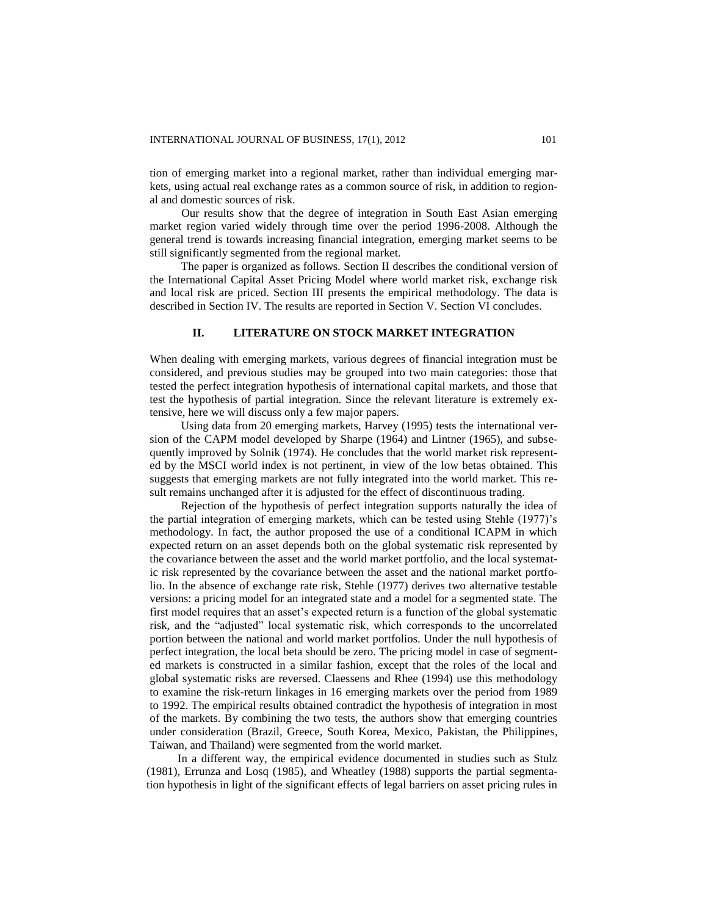tion of emerging market into a regional market, rather than individual emerging markets, using actual real exchange rates as a common source of risk, in addition to regional and domestic sources of risk.

Our results show that the degree of integration in South East Asian emerging market region varied widely through time over the period 1996-2008. Although the general trend is towards increasing financial integration, emerging market seems to be still significantly segmented from the regional market.

The paper is organized as follows. Section II describes the conditional version of the International Capital Asset Pricing Model where world market risk, exchange risk and local risk are priced. Section III presents the empirical methodology. The data is described in Section IV. The results are reported in Section V. Section VI concludes.

#### **II. LITERATURE ON STOCK MARKET INTEGRATION**

When dealing with emerging markets, various degrees of financial integration must be considered, and previous studies may be grouped into two main categories: those that tested the perfect integration hypothesis of international capital markets, and those that test the hypothesis of partial integration. Since the relevant literature is extremely extensive, here we will discuss only a few major papers.

Using data from 20 emerging markets, Harvey (1995) tests the international version of the CAPM model developed by Sharpe (1964) and Lintner (1965), and subsequently improved by Solnik (1974). He concludes that the world market risk represented by the MSCI world index is not pertinent, in view of the low betas obtained. This suggests that emerging markets are not fully integrated into the world market. This result remains unchanged after it is adjusted for the effect of discontinuous trading.

Rejection of the hypothesis of perfect integration supports naturally the idea of the partial integration of emerging markets, which can be tested using Stehle (1977)'s methodology. In fact, the author proposed the use of a conditional ICAPM in which expected return on an asset depends both on the global systematic risk represented by the covariance between the asset and the world market portfolio, and the local systematic risk represented by the covariance between the asset and the national market portfolio. In the absence of exchange rate risk, Stehle (1977) derives two alternative testable versions: a pricing model for an integrated state and a model for a segmented state. The first model requires that an asset's expected return is a function of the global systematic risk, and the "adjusted" local systematic risk, which corresponds to the uncorrelated portion between the national and world market portfolios. Under the null hypothesis of perfect integration, the local beta should be zero. The pricing model in case of segmented markets is constructed in a similar fashion, except that the roles of the local and global systematic risks are reversed. Claessens and Rhee (1994) use this methodology to examine the risk-return linkages in 16 emerging markets over the period from 1989 to 1992. The empirical results obtained contradict the hypothesis of integration in most of the markets. By combining the two tests, the authors show that emerging countries under consideration (Brazil, Greece, South Korea, Mexico, Pakistan, the Philippines, Taiwan, and Thailand) were segmented from the world market.

In a different way, the empirical evidence documented in studies such as Stulz (1981), Errunza and Losq (1985), and Wheatley (1988) supports the partial segmentation hypothesis in light of the significant effects of legal barriers on asset pricing rules in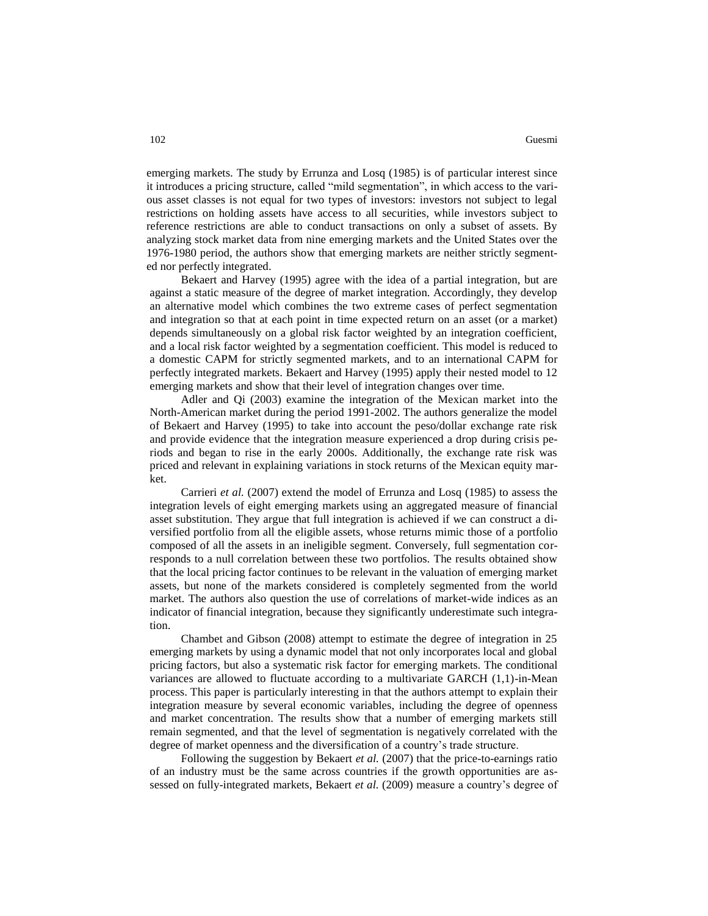emerging markets. The study by Errunza and Losq (1985) is of particular interest since it introduces a pricing structure, called "mild segmentation", in which access to the various asset classes is not equal for two types of investors: investors not subject to legal restrictions on holding assets have access to all securities, while investors subject to reference restrictions are able to conduct transactions on only a subset of assets. By analyzing stock market data from nine emerging markets and the United States over the 1976-1980 period, the authors show that emerging markets are neither strictly segmented nor perfectly integrated.

Bekaert and Harvey (1995) agree with the idea of a partial integration, but are against a static measure of the degree of market integration. Accordingly, they develop an alternative model which combines the two extreme cases of perfect segmentation and integration so that at each point in time expected return on an asset (or a market) depends simultaneously on a global risk factor weighted by an integration coefficient, and a local risk factor weighted by a segmentation coefficient. This model is reduced to a domestic CAPM for strictly segmented markets, and to an international CAPM for perfectly integrated markets. Bekaert and Harvey (1995) apply their nested model to 12 emerging markets and show that their level of integration changes over time.

Adler and Qi (2003) examine the integration of the Mexican market into the North-American market during the period 1991-2002. The authors generalize the model of Bekaert and Harvey (1995) to take into account the peso/dollar exchange rate risk and provide evidence that the integration measure experienced a drop during crisis periods and began to rise in the early 2000s. Additionally, the exchange rate risk was priced and relevant in explaining variations in stock returns of the Mexican equity market.

Carrieri *et al.* (2007) extend the model of Errunza and Losq (1985) to assess the integration levels of eight emerging markets using an aggregated measure of financial asset substitution. They argue that full integration is achieved if we can construct a diversified portfolio from all the eligible assets, whose returns mimic those of a portfolio composed of all the assets in an ineligible segment. Conversely, full segmentation corresponds to a null correlation between these two portfolios. The results obtained show that the local pricing factor continues to be relevant in the valuation of emerging market assets, but none of the markets considered is completely segmented from the world market. The authors also question the use of correlations of market-wide indices as an indicator of financial integration, because they significantly underestimate such integration.

Chambet and Gibson (2008) attempt to estimate the degree of integration in 25 emerging markets by using a dynamic model that not only incorporates local and global pricing factors, but also a systematic risk factor for emerging markets. The conditional variances are allowed to fluctuate according to a multivariate GARCH (1,1)-in-Mean process. This paper is particularly interesting in that the authors attempt to explain their integration measure by several economic variables, including the degree of openness and market concentration. The results show that a number of emerging markets still remain segmented, and that the level of segmentation is negatively correlated with the degree of market openness and the diversification of a country's trade structure.

Following the suggestion by Bekaert *et al.* (2007) that the price-to-earnings ratio of an industry must be the same across countries if the growth opportunities are assessed on fully-integrated markets, Bekaert *et al.* (2009) measure a country's degree of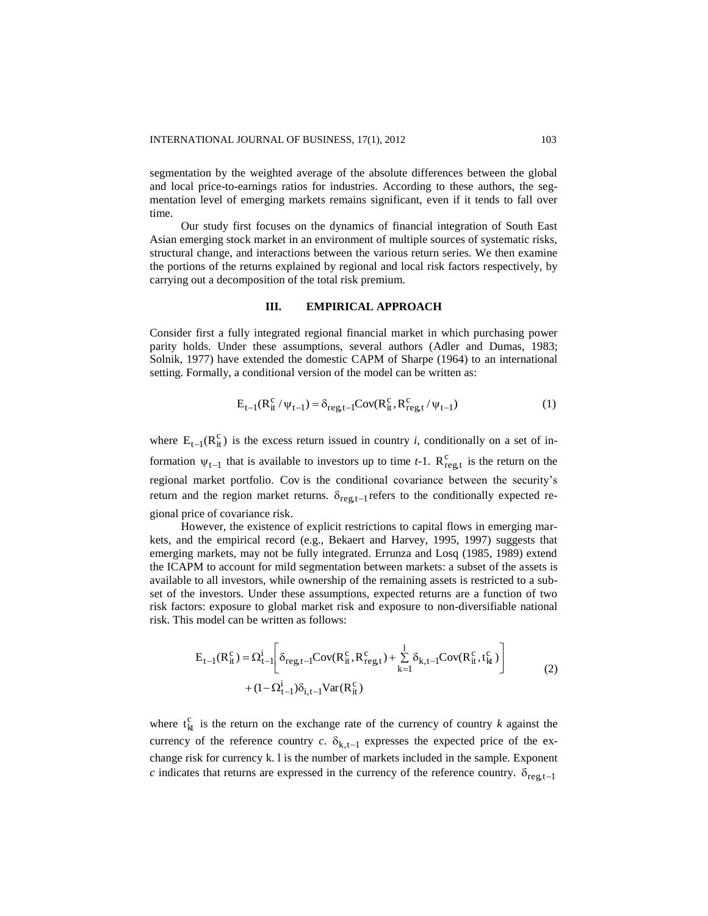segmentation by the weighted average of the absolute differences between the global and local price-to-earnings ratios for industries. According to these authors, the segmentation level of emerging markets remains significant, even if it tends to fall over time.

Our study first focuses on the dynamics of financial integration of South East Asian emerging stock market in an environment of multiple sources of systematic risks, structural change, and interactions between the various return series. We then examine the portions of the returns explained by regional and local risk factors respectively, by carrying out a decomposition of the total risk premium.

#### **III. EMPIRICAL APPROACH**

Consider first a fully integrated regional financial market in which purchasing power parity holds. Under these assumptions, several authors (Adler and Dumas, 1983; Solnik, 1977) have extended the domestic CAPM of Sharpe (1964) to an international setting. Formally, a conditional version of the model can be written as:

$$
E_{t-1}(R_{it}^{c}/\psi_{t-1}) = \delta_{reg,t-1}Cov(R_{it}^{c}, R_{reg,t}^{c}/\psi_{t-1})
$$
 (1)

where  $E_{t-1}(R_{it}^c)$  is the excess return issued in country *i*, conditionally on a set of information  $\psi_{t-1}$  that is available to investors up to time *t*-1.  $R_{reg,t}^c$  is the return on the regional market portfolio. Cov is the conditional covariance between the security's return and the region market returns.  $\delta_{\text{reg,t-1}}$  refers to the conditionally expected regional price of covariance risk.

However, the existence of explicit restrictions to capital flows in emerging markets, and the empirical record (e.g., Bekaert and Harvey, 1995, 1997) suggests that emerging markets, may not be fully integrated. Errunza and Losq (1985, 1989) extend the ICAPM to account for mild segmentation between markets: a subset of the assets is available to all investors, while ownership of the remaining assets is restricted to a subset of the investors. Under these assumptions, expected returns are a function of two risk factors: exposure to global market risk and exposure to non-diversifiable national risk. This model can be written as follows:

$$
E_{t-1}(R_{it}^{c}) = \Omega_{t-1}^{i} \bigg[ \delta_{reg,t-1} \text{Cov}(R_{it}^{c}, R_{reg,t}^{c}) + \sum_{k=1}^{1} \delta_{k,t-1} \text{Cov}(R_{it}^{c}, t_{kt}^{c}) \bigg] + (1 - \Omega_{t-1}^{i}) \delta_{i,t-1} \text{Var}(R_{it}^{c})
$$
\n(2)

where  $t_{kt}^c$  is the return on the exchange rate of the currency of country *k* against the currency of the reference country  $c$ .  $\delta_{k,t-1}$  expresses the expected price of the exchange risk for currency k. l is the number of markets included in the sample. Exponent *c* indicates that returns are expressed in the currency of the reference country.  $\delta_{reg,t-1}$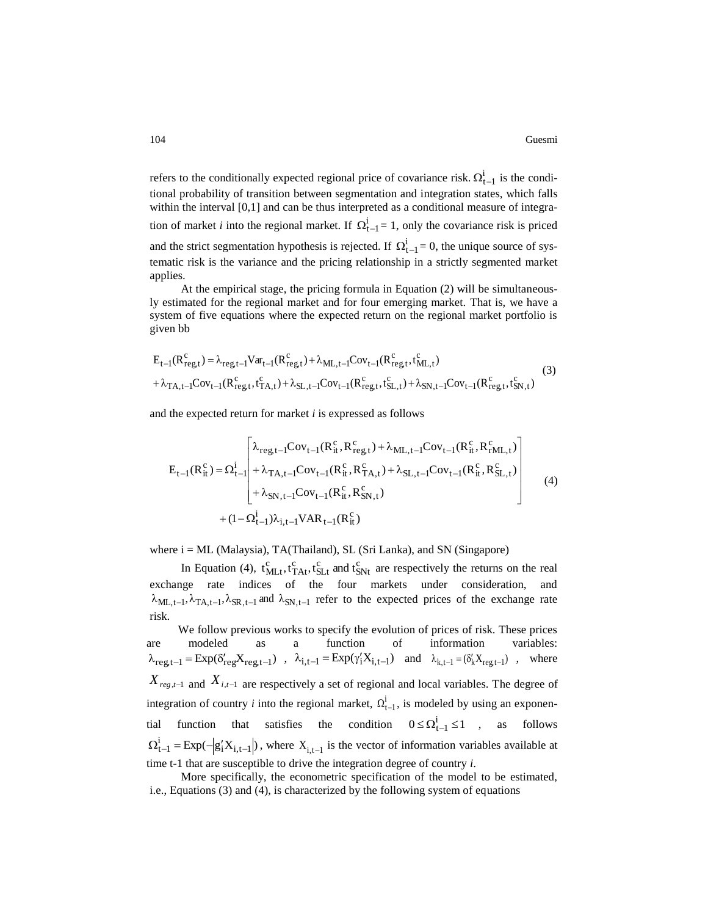refers to the conditionally expected regional price of covariance risk.  $\Omega_{t-1}^i$  is the conditional probability of transition between segmentation and integration states, which falls within the interval [0,1] and can be thus interpreted as a conditional measure of integration of market *i* into the regional market. If  $\Omega_{t-1}^i = 1$ , only the covariance risk is priced and the strict segmentation hypothesis is rejected. If  $\Omega_{t-1}^i = 0$ , the unique source of systematic risk is the variance and the pricing relationship in a strictly segmented market applies.

At the empirical stage, the pricing formula in Equation (2) will be simultaneously estimated for the regional market and for four emerging market. That is, we have a system of five equations where the expected return on the regional market portfolio is given bb

$$
E_{t-1}(R_{reg,t}^c) = \lambda_{reg,t-1}Var_{t-1}(R_{reg,t}^c) + \lambda_{ML,t-1}Cov_{t-1}(R_{reg,t}^c, t_{ML,t}^c) + \lambda_{TA,t-1}Cov_{t-1}(R_{reg,t}^c, t_{TA,t}^c) + \lambda_{SL,t-1}Cov_{t-1}(R_{reg,t}^c, t_{SL,t}^c) + \lambda_{SN,t-1}Cov_{t-1}(R_{reg,t}^c, t_{SN,t}^c)
$$
\n(3)

and the expected return for market *i* is expressed as follows

$$
E_{t-1}(R_{it}^{c}) = \Omega_{t-1}^{i} \begin{bmatrix} \lambda_{reg,t-1}Cov_{t-1}(R_{it}^{c}, R_{reg,t}^{c}) + \lambda_{ML,t-1}Cov_{t-1}(R_{it}^{c}, R_{rML,t}^{c}) \\ + \lambda_{TA,t-1}Cov_{t-1}(R_{it}^{c}, R_{TA,t}^{c}) + \lambda_{SL,t-1}Cov_{t-1}(R_{it}^{c}, R_{SL,t}^{c}) \\ + \lambda_{SN,t-1}Cov_{t-1}(R_{it}^{c}, R_{SN,t}^{c}) \end{bmatrix}
$$
\n
$$
+ (1 - \Omega_{t-1}^{i})\lambda_{i,t-1}VAR_{t-1}(R_{it}^{c})
$$
\n(4)

where  $i = ML$  (Malaysia), TA(Thailand), SL (Sri Lanka), and SN (Singapore)

In Equation (4),  $t_{MLt}^c$ ,  $t_{TAt}^c$ ,  $t_{SLt}^c$  and  $t_{SNt}^c$  are respectively the returns on the real exchange rate indices of the four markets under consideration, and  $\lambda_{ML,t-1}, \lambda_{TA,t-1}, \lambda_{SR,t-1}$  and  $\lambda_{SN,t-1}$  refer to the expected prices of the exchange rate risk.

We follow previous works to specify the evolution of prices of risk. These prices are modeled as a function of information variables:  $\lambda_{\text{reg},t-1} = \text{Exp}(\delta'_{\text{reg}}X_{\text{reg},t-1})$ ,  $\lambda_{i,t-1} = \text{Exp}(\gamma'_i X_{i,t-1})$  and  $\lambda_{k,t-1} = (\delta'_k X_{\text{reg},t-1})$ , where  $X_{reg,t-1}$  and  $X_{i,t-1}$  are respectively a set of regional and local variables. The degree of integration of country *i* into the regional market,  $\Omega_{t-1}^i$ , is modeled by using an exponential function that satisfies the condition  $0 \le \Omega_{t-1}^i \le 1$ follows  $\Omega_{t-1}^{i} = \text{Exp}(-|g'_{i}X_{i,t-1}|)$ , where  $X_{i,t-1}$  is the vector of information variables available at time t-1 that are susceptible to drive the integration degree of country *i*.

More specifically, the econometric specification of the model to be estimated, i.e., Equations (3) and (4), is characterized by the following system of equations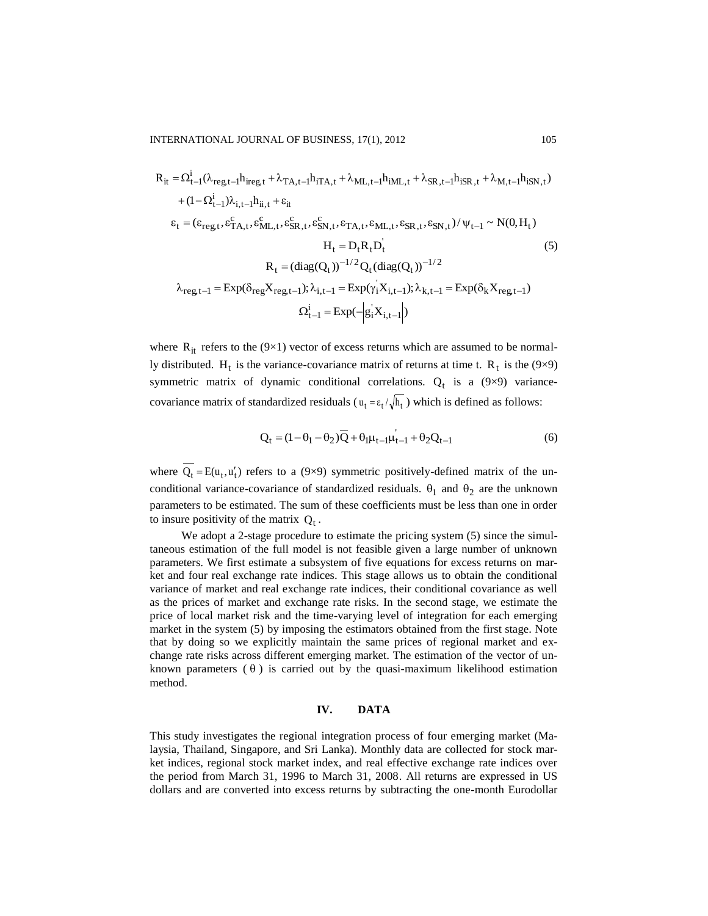$$
R_{it} = \Omega_{t-1}^{i}(\lambda_{reg,t-1}h_{ireg,t} + \lambda_{TA,t-1}h_{iTA,t} + \lambda_{ML,t-1}h_{iML,t} + \lambda_{SR,t-1}h_{iSR,t} + \lambda_{M,t-1}h_{iSN,t})
$$
  
+  $(1 - \Omega_{t-1}^{i})\lambda_{i,t-1}h_{ii,t} + \varepsilon_{it}$   
 $\varepsilon_{t} = (\varepsilon_{reg,t}, \varepsilon_{TA,t}^{c}, \varepsilon_{ML,t}^{c}, \varepsilon_{SR,t}^{c}, \varepsilon_{SN,t}^{c}, \varepsilon_{TA,t}, \varepsilon_{ML,t}, \varepsilon_{SR,t}, \varepsilon_{SN,t})/\psi_{t-1} \sim N(0, H_{t})$   
 $H_{t} = D_{t}R_{t}D_{t}^{i}$   
 $R_{t} = (\text{diag}(Q_{t}))^{-1/2}Q_{t}(\text{diag}(Q_{t}))^{-1/2}$   
 $\lambda_{reg,t-1} = \text{Exp}(\delta_{reg}X_{reg,t-1}); \lambda_{i,t-1} = \text{Exp}(\gamma_{i}^{'}X_{i,t-1}); \lambda_{k,t-1} = \text{Exp}(\delta_{k}X_{reg,t-1})$   
 $\Omega_{t-1}^{i} = \text{Exp}(-|\varepsilon_{i}^{'}X_{i,t-1}|)$ 

where  $R_{it}$  refers to the (9×1) vector of excess returns which are assumed to be normally distributed. H<sub>t</sub> is the variance-covariance matrix of returns at time t.  $R_t$  is the (9×9) symmetric matrix of dynamic conditional correlations.  $Q_t$  is a (9×9) variancecovariance matrix of standardized residuals ( $u_t = \varepsilon_t / \sqrt{h_t}$ ) which is defined as follows:

$$
Q_{t} = (1 - \theta_{1} - \theta_{2})\overline{Q} + \theta_{1}\mu_{t-1}\mu_{t-1} + \theta_{2}Q_{t-1}
$$
(6)

where  $Q_t = E(u_t, u'_t)$  refers to a (9×9) symmetric positively-defined matrix of the unconditional variance-covariance of standardized residuals.  $\theta_1$  and  $\theta_2$  are the unknown parameters to be estimated. The sum of these coefficients must be less than one in order to insure positivity of the matrix  $Q_t$ .

We adopt a 2-stage procedure to estimate the pricing system (5) since the simultaneous estimation of the full model is not feasible given a large number of unknown parameters. We first estimate a subsystem of five equations for excess returns on market and four real exchange rate indices. This stage allows us to obtain the conditional variance of market and real exchange rate indices, their conditional covariance as well as the prices of market and exchange rate risks. In the second stage, we estimate the price of local market risk and the time-varying level of integration for each emerging market in the system (5) by imposing the estimators obtained from the first stage. Note that by doing so we explicitly maintain the same prices of regional market and exchange rate risks across different emerging market. The estimation of the vector of unknown parameters  $(\theta)$  is carried out by the quasi-maximum likelihood estimation method.

#### **IV. DATA**

This study investigates the regional integration process of four emerging market (Malaysia, Thailand, Singapore, and Sri Lanka). Monthly data are collected for stock market indices, regional stock market index, and real effective exchange rate indices over the period from March 31, 1996 to March 31, 2008. All returns are expressed in US dollars and are converted into excess returns by subtracting the one-month Eurodollar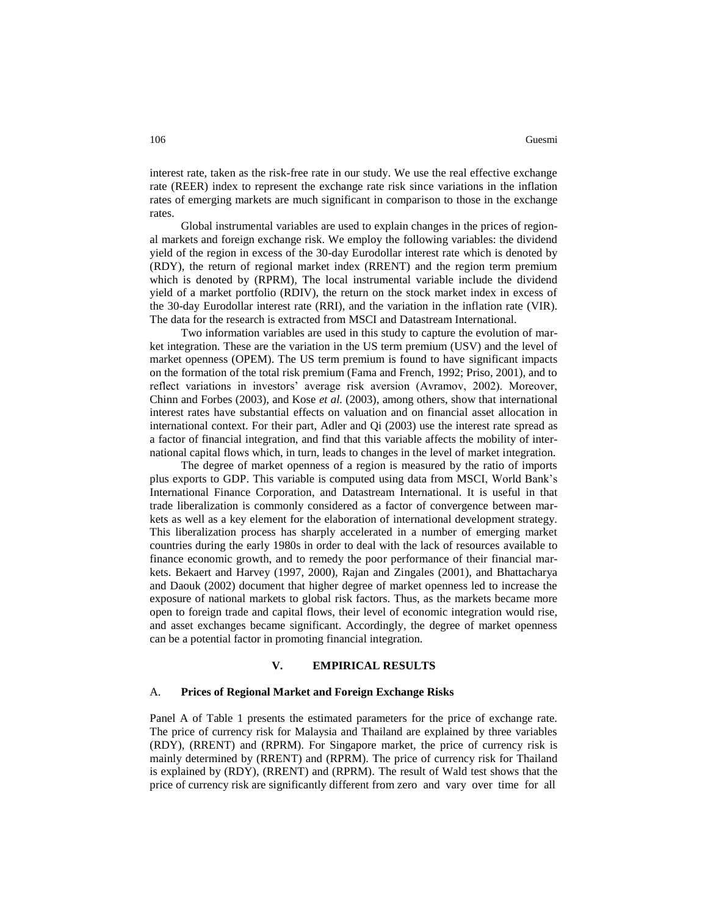interest rate, taken as the risk-free rate in our study. We use the real effective exchange rate (REER) index to represent the exchange rate risk since variations in the inflation rates of emerging markets are much significant in comparison to those in the exchange rates.

Global instrumental variables are used to explain changes in the prices of regional markets and foreign exchange risk. We employ the following variables: the dividend yield of the region in excess of the 30-day Eurodollar interest rate which is denoted by (RDY), the return of regional market index (RRENT) and the region term premium which is denoted by (RPRM), The local instrumental variable include the dividend yield of a market portfolio (RDIV), the return on the stock market index in excess of the 30-day Eurodollar interest rate (RRI), and the variation in the inflation rate (VIR). The data for the research is extracted from MSCI and Datastream International.

Two information variables are used in this study to capture the evolution of market integration. These are the variation in the US term premium (USV) and the level of market openness (OPEM). The US term premium is found to have significant impacts on the formation of the total risk premium (Fama and French, 1992; Priso, 2001), and to reflect variations in investors' average risk aversion (Avramov, 2002). Moreover, Chinn and Forbes (2003), and Kose *et al.* (2003), among others, show that international interest rates have substantial effects on valuation and on financial asset allocation in international context. For their part, Adler and Qi (2003) use the interest rate spread as a factor of financial integration, and find that this variable affects the mobility of international capital flows which, in turn, leads to changes in the level of market integration.

The degree of market openness of a region is measured by the ratio of imports plus exports to GDP. This variable is computed using data from MSCI, World Bank's International Finance Corporation, and Datastream International. It is useful in that trade liberalization is commonly considered as a factor of convergence between markets as well as a key element for the elaboration of international development strategy. This liberalization process has sharply accelerated in a number of emerging market countries during the early 1980s in order to deal with the lack of resources available to finance economic growth, and to remedy the poor performance of their financial markets. Bekaert and Harvey (1997, 2000), Rajan and Zingales (2001), and Bhattacharya and Daouk (2002) document that higher degree of market openness led to increase the exposure of national markets to global risk factors. Thus, as the markets became more open to foreign trade and capital flows, their level of economic integration would rise, and asset exchanges became significant. Accordingly, the degree of market openness can be a potential factor in promoting financial integration.

#### **V. EMPIRICAL RESULTS**

#### A. **Prices of Regional Market and Foreign Exchange Risks**

Panel A of Table 1 presents the estimated parameters for the price of exchange rate. The price of currency risk for Malaysia and Thailand are explained by three variables (RDY), (RRENT) and (RPRM). For Singapore market, the price of currency risk is mainly determined by (RRENT) and (RPRM). The price of currency risk for Thailand is explained by (RDY), (RRENT) and (RPRM). The result of Wald test shows that the price of currency risk are significantly different from zero and vary over time for all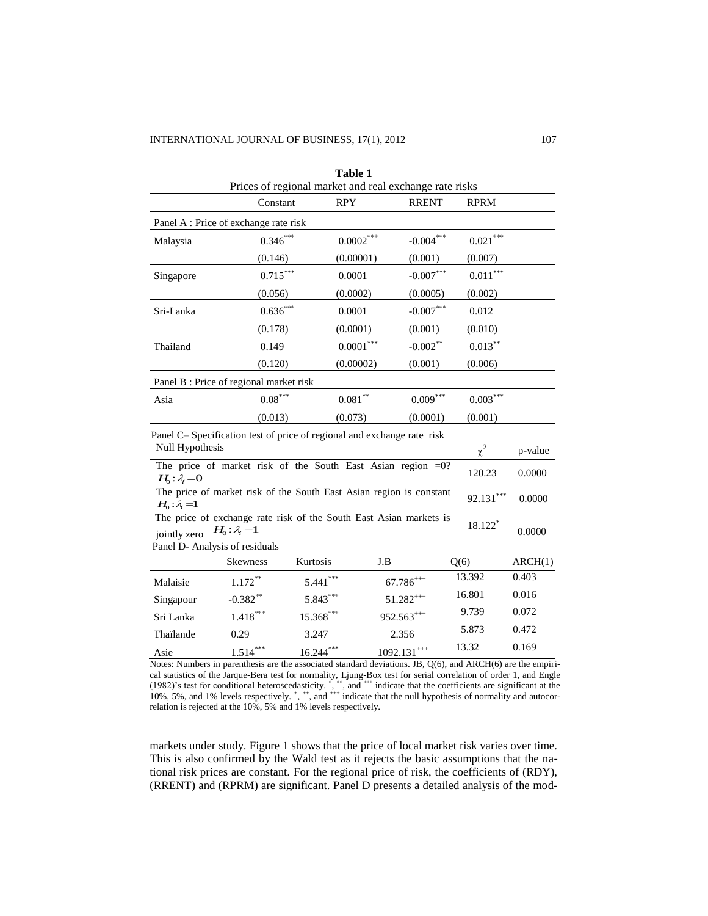| Table 1<br>Prices of regional market and real exchange rate risks                                                             |                 |             |                |              |                        |         |  |  |  |  |
|-------------------------------------------------------------------------------------------------------------------------------|-----------------|-------------|----------------|--------------|------------------------|---------|--|--|--|--|
|                                                                                                                               | Constant        | <b>RPY</b>  |                | <b>RRENT</b> | <b>RPRM</b>            |         |  |  |  |  |
| Panel A : Price of exchange rate risk                                                                                         |                 |             |                |              |                        |         |  |  |  |  |
| Malaysia                                                                                                                      | $0.346***$      |             | $0.0002***$    | $-0.004***$  | $0.021***$             |         |  |  |  |  |
|                                                                                                                               | (0.146)         |             | (0.00001)      | (0.001)      | (0.007)                |         |  |  |  |  |
| Singapore                                                                                                                     | $0.715***$      | 0.0001      |                | $-0.007***$  | $0.011^{\ast\ast\ast}$ |         |  |  |  |  |
|                                                                                                                               | (0.056)         | (0.0002)    |                | (0.0005)     | (0.002)                |         |  |  |  |  |
| Sri-Lanka                                                                                                                     | $0.636***$      | 0.0001      |                | $-0.007***$  | 0.012                  |         |  |  |  |  |
|                                                                                                                               | (0.178)         | (0.0001)    |                | (0.001)      | (0.010)                |         |  |  |  |  |
| Thailand                                                                                                                      | 0.149           |             | $0.0001***$    | $-0.002**$   | $0.013***$             |         |  |  |  |  |
|                                                                                                                               | (0.120)         |             | (0.00002)      | (0.001)      | (0.006)                |         |  |  |  |  |
| Panel B: Price of regional market risk                                                                                        |                 |             |                |              |                        |         |  |  |  |  |
| Asia                                                                                                                          | $0.08***$       | $0.081***$  |                | $0.009***$   | $0.003***$             |         |  |  |  |  |
|                                                                                                                               | (0.013)         | (0.073)     |                | (0.0001)     | (0.001)                |         |  |  |  |  |
| Panel C-Specification test of price of regional and exchange rate risk                                                        |                 |             |                |              |                        |         |  |  |  |  |
| <b>Null Hypothesis</b>                                                                                                        |                 |             |                |              | $\chi^2$               | p-value |  |  |  |  |
| The price of market risk of the South East Asian region $=0$ ?<br>120.23<br>0.0000<br>$H_0: \lambda = 0$                      |                 |             |                |              |                        |         |  |  |  |  |
| The price of market risk of the South East Asian region is constant<br>$92.131***$<br>0.0000<br>$H_0: \lambda = 1$            |                 |             |                |              |                        |         |  |  |  |  |
| The price of exchange rate risk of the South East Asian markets is<br>18.122*<br>$H_0: \lambda = 1$<br>0.0000<br>jointly zero |                 |             |                |              |                        |         |  |  |  |  |
| Panel D- Analysis of residuals                                                                                                |                 |             |                |              |                        |         |  |  |  |  |
|                                                                                                                               | <b>Skewness</b> | Kurtosis    | J.B            | Q(6)         |                        | ARCH(1) |  |  |  |  |
| Malaisie                                                                                                                      | $1.172***$      | $5.441***$  | $67.786^{***}$ |              | 13.392                 | 0.403   |  |  |  |  |
| Singapour                                                                                                                     | $-0.382**$      | $5.843***$  | $51.282***$    |              | 16.801                 | 0.016   |  |  |  |  |
| Sri Lanka                                                                                                                     | $1.418***$      | 15.368***   | $952.563***$   |              | 9.739                  | 0.072   |  |  |  |  |
| Thaïlande                                                                                                                     | 0.29            | 3.247       | 2.356          |              | 5.873                  | 0.472   |  |  |  |  |
| Asie                                                                                                                          | $1.514***$      | $16.244***$ | $1092.131***$  |              | 13.32                  | 0.169   |  |  |  |  |

Notes: Numbers in parenthesis are the associated standard deviations. JB, Q(6), and ARCH(6) are the empirical statistics of the Jarque-Bera test for normality, Ljung-Box test for serial correlation of order 1, and Engle (1982)'s test for conditional heteroscedasticity. \* , \*\*, and \*\*\* indicate that the coefficients are significant at the 10%, 5%, and 1% levels respectively.  $^+$ ,  $^+$ , and  $^{+++}$  indicate that the null hypothesis of normality and autocorrelation is rejected at the 10%, 5% and 1% levels respectively.

markets under study. Figure 1 shows that the price of local market risk varies over time. This is also confirmed by the Wald test as it rejects the basic assumptions that the national risk prices are constant. For the regional price of risk, the coefficients of (RDY), (RRENT) and (RPRM) are significant. Panel D presents a detailed analysis of the mod-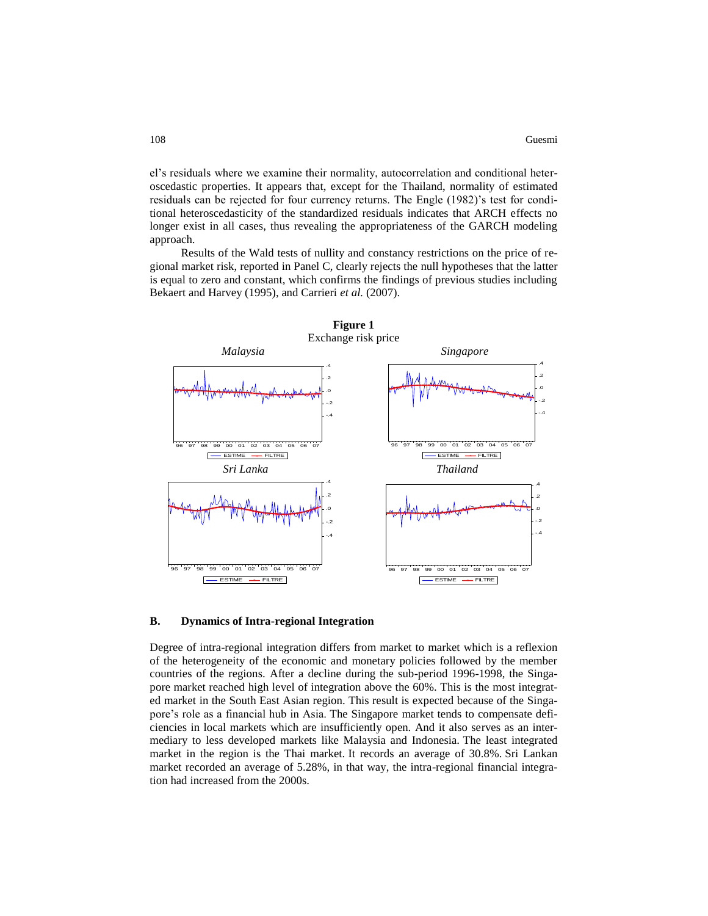el's residuals where we examine their normality, autocorrelation and conditional heteroscedastic properties. It appears that, except for the Thailand, normality of estimated residuals can be rejected for four currency returns. The Engle (1982)'s test for conditional heteroscedasticity of the standardized residuals indicates that ARCH effects no longer exist in all cases, thus revealing the appropriateness of the GARCH modeling approach.

Results of the Wald tests of nullity and constancy restrictions on the price of regional market risk, reported in Panel C, clearly rejects the null hypotheses that the latter is equal to zero and constant, which confirms the findings of previous studies including Bekaert and Harvey (1995), and Carrieri *et al.* (2007).



#### **B. Dynamics of Intra-regional Integration**

Degree of intra-regional integration differs from market to market which is a reflexion of the heterogeneity of the economic and monetary policies followed by the member countries of the regions. After a decline during the sub-period 1996-1998, the Singapore market reached high level of integration above the 60%. This is the most integrated market in the South East Asian region. This result is expected because of the Singapore's role as a financial hub in Asia. The Singapore market tends to compensate deficiencies in local markets which are insufficiently open. And it also serves as an intermediary to less developed markets like Malaysia and Indonesia. The least integrated market in the region is the Thai market. It records an average of 30.8%. Sri Lankan market recorded an average of 5.28%, in that way, the intra-regional financial integration had increased from the 2000s.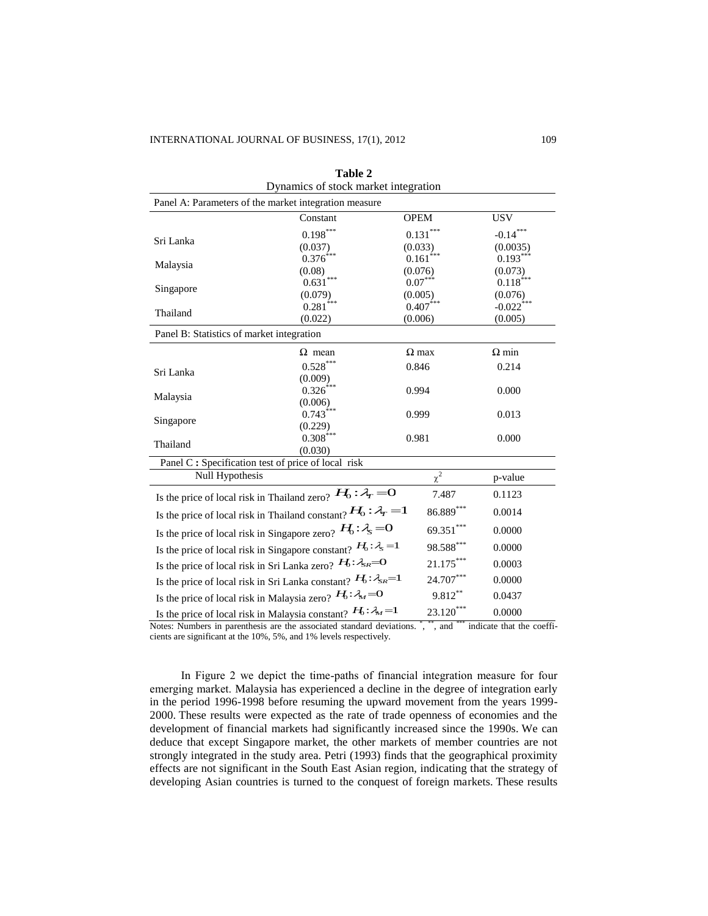| Dynamics of stock market integration                                                                                          |                                                                            |                        |                         |  |  |  |  |
|-------------------------------------------------------------------------------------------------------------------------------|----------------------------------------------------------------------------|------------------------|-------------------------|--|--|--|--|
| Panel A: Parameters of the market integration measure                                                                         |                                                                            |                        |                         |  |  |  |  |
|                                                                                                                               | Constant                                                                   | <b>OPEM</b>            | <b>USV</b>              |  |  |  |  |
|                                                                                                                               | $0.198***$                                                                 | $0.131***$             | $-0.14***$              |  |  |  |  |
| Sri Lanka                                                                                                                     | (0.037)                                                                    | (0.033)                | (0.0035)                |  |  |  |  |
| Malaysia                                                                                                                      | $0.376^{***}$                                                              | $0.161$ <sup>***</sup> | $0.193***$              |  |  |  |  |
|                                                                                                                               | (0.08)                                                                     | (0.076)                | (0.073)                 |  |  |  |  |
| Singapore                                                                                                                     | $0.631***$                                                                 | $0.07***$              | $0.118***$              |  |  |  |  |
|                                                                                                                               | (0.079)                                                                    | (0.005)<br>$0.407***$  | (0.076)                 |  |  |  |  |
| Thailand                                                                                                                      | $0.281$ <sup>***</sup><br>(0.022)                                          | (0.006)                | $-0.022$ ***<br>(0.005) |  |  |  |  |
| Panel B: Statistics of market integration                                                                                     |                                                                            |                        |                         |  |  |  |  |
|                                                                                                                               |                                                                            |                        |                         |  |  |  |  |
|                                                                                                                               | $\Omega$ mean                                                              | $\Omega$ max           | $\Omega$ min            |  |  |  |  |
| Sri Lanka                                                                                                                     | $0.528***$                                                                 | 0.846                  | 0.214                   |  |  |  |  |
|                                                                                                                               | (0.009)<br>$0.326^{\text{***}}$                                            | 0.994                  | 0.000                   |  |  |  |  |
| Malaysia                                                                                                                      | (0.006)                                                                    |                        |                         |  |  |  |  |
|                                                                                                                               | $0.743$ <sup>***</sup>                                                     | 0.999                  | 0.013                   |  |  |  |  |
| Singapore                                                                                                                     | (0.229)                                                                    |                        |                         |  |  |  |  |
| Thailand                                                                                                                      | $0.308$ <sup>***</sup>                                                     | 0.981                  | 0.000                   |  |  |  |  |
|                                                                                                                               | (0.030)                                                                    |                        |                         |  |  |  |  |
| Panel C: Specification test of price of local risk                                                                            |                                                                            |                        |                         |  |  |  |  |
| Null Hypothesis                                                                                                               |                                                                            | $\chi^2$               | p-value                 |  |  |  |  |
|                                                                                                                               | Is the price of local risk in Thailand zero? $H_0: \mathcal{A}_r = 0$      | 7.487                  | 0.1123                  |  |  |  |  |
|                                                                                                                               | Is the price of local risk in Thailand constant? $H_0: \lambda_r = 1$      | 86.889***              | 0.0014                  |  |  |  |  |
|                                                                                                                               | Is the price of local risk in Singapore zero? $H_0: \lambda_s = 0$         | 69.351***              | 0.0000                  |  |  |  |  |
| Is the price of local risk in Singapore constant? $H_0: \lambda_s = 1$                                                        | 98.588***                                                                  | 0.0000                 |                         |  |  |  |  |
|                                                                                                                               | Is the price of local risk in Sri Lanka zero? $H_0: \mathcal{F}_{S_R} = 0$ | $21.175***$            | 0.0003                  |  |  |  |  |
|                                                                                                                               | Is the price of local risk in Sri Lanka constant? $H_0: \lambda_{SR} = 1$  | $24.707***$            | 0.0000                  |  |  |  |  |
|                                                                                                                               | Is the price of local risk in Malaysia zero? $H_0: A_M = 0$                | 9.812**                | 0.0437                  |  |  |  |  |
|                                                                                                                               | Is the price of local risk in Malaysia constant? $H_0: \lambda_M = 1$      | $23.120***$            | 0.0000                  |  |  |  |  |
| $\alpha$ , and $\alpha$<br>Notes: Numbers in parenthesis are the associated standard deviations.<br>indicate that the coeffi- |                                                                            |                        |                         |  |  |  |  |

**Table 2**

cients are significant at the 10%, 5%, and 1% levels respectively.

In Figure 2 we depict the time-paths of financial integration measure for four emerging market. Malaysia has experienced a decline in the degree of integration early in the period 1996-1998 before resuming the upward movement from the years 1999- 2000. These results were expected as the rate of trade openness of economies and the development of financial markets had significantly increased since the 1990s. We can deduce that except Singapore market, the other markets of member countries are not strongly integrated in the study area. Petri (1993) finds that the geographical proximity effects are not significant in the South East Asian region, indicating that the strategy of developing Asian countries is turned to the conquest of foreign markets. These results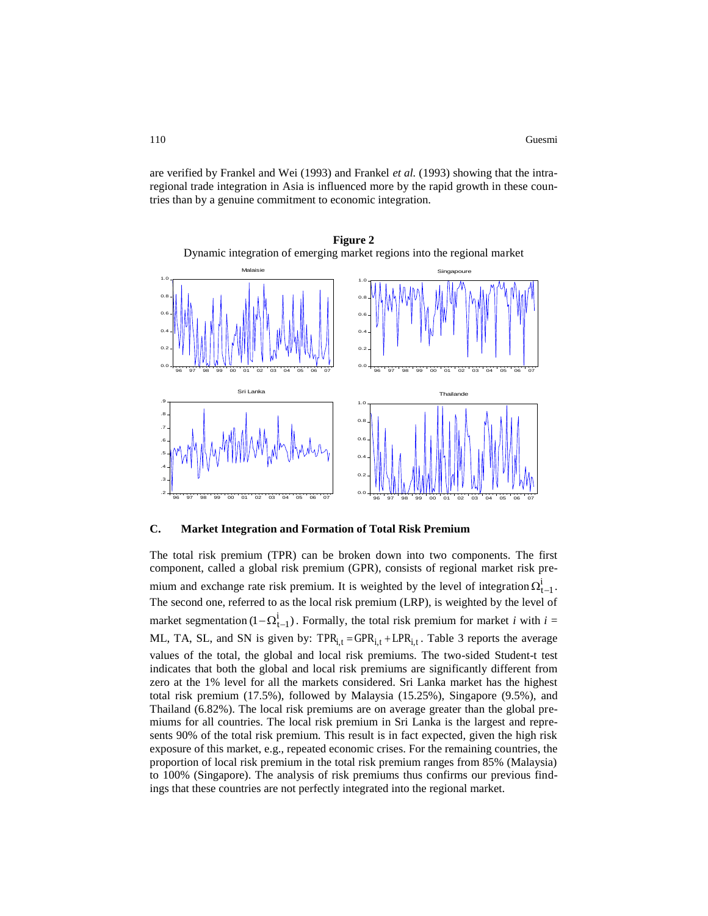are verified by Frankel and Wei (1993) and Frankel *et al.* (1993) showing that the intraregional trade integration in Asia is influenced more by the rapid growth in these countries than by a genuine commitment to economic integration.



**Figure 2** Dynamic integration of emerging market regions into the regional market

## **C. Market Integration and Formation of Total Risk Premium**

The total risk premium (TPR) can be broken down into two components. The first component, called a global risk premium (GPR), consists of regional market risk premium and exchange rate risk premium. It is weighted by the level of integration  $\Omega_{t-1}^i$ . The second one, referred to as the local risk premium (LRP), is weighted by the level of market segmentation  $(1 - \Omega_{t-1}^i)$ . Formally, the total risk premium for market *i* with  $i =$ ML, TA, SL, and SN is given by:  $TPR_{i,t} = GPR_{i,t} + LPR_{i,t}$ . Table 3 reports the average values of the total, the global and local risk premiums. The two-sided Student-t test indicates that both the global and local risk premiums are significantly different from zero at the 1% level for all the markets considered. Sri Lanka market has the highest total risk premium (17.5%), followed by Malaysia (15.25%), Singapore (9.5%), and Thailand (6.82%). The local risk premiums are on average greater than the global premiums for all countries. The local risk premium in Sri Lanka is the largest and represents 90% of the total risk premium. This result is in fact expected, given the high risk exposure of this market, e.g., repeated economic crises. For the remaining countries, the proportion of local risk premium in the total risk premium ranges from 85% (Malaysia) to 100% (Singapore). The analysis of risk premiums thus confirms our previous findings that these countries are not perfectly integrated into the regional market.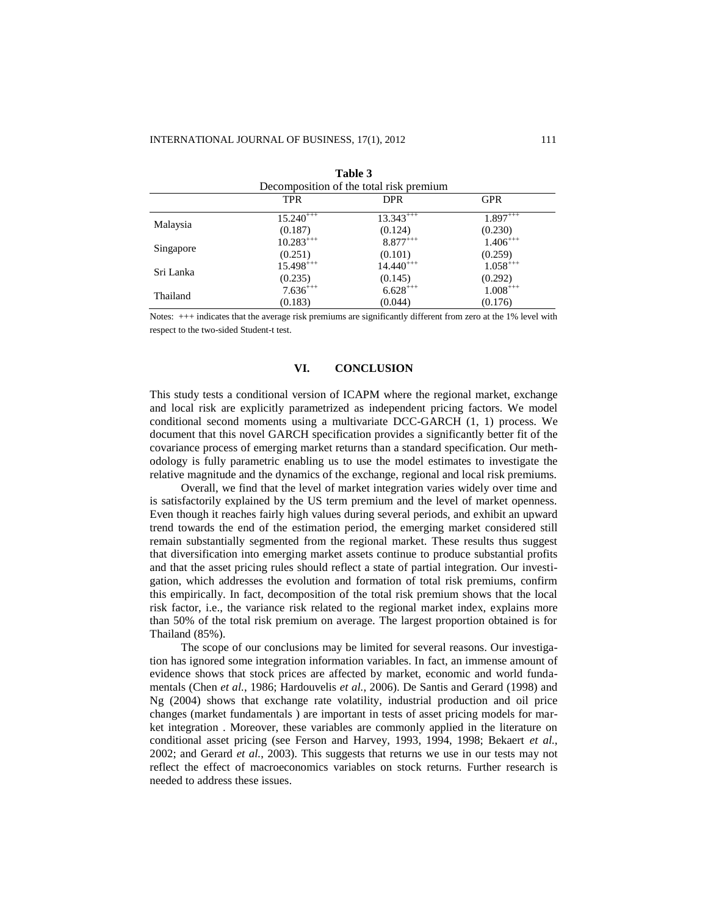| ravic J                                 |               |               |               |  |  |  |  |
|-----------------------------------------|---------------|---------------|---------------|--|--|--|--|
| Decomposition of the total risk premium |               |               |               |  |  |  |  |
|                                         | TPR           | <b>DPR</b>    | <b>GPR</b>    |  |  |  |  |
|                                         | $15.240^{++}$ | $13.343***$   | $1.897^{+++}$ |  |  |  |  |
| Malaysia                                | (0.187)       | (0.124)       | (0.230)       |  |  |  |  |
|                                         | $10.283***$   | $8.877***$    | $1.406^{+++}$ |  |  |  |  |
| Singapore                               | (0.251)       | (0.101)       | (0.259)       |  |  |  |  |
| Sri Lanka                               | $15.498***$   | $14.440^{++}$ | $1.058***$    |  |  |  |  |
|                                         | (0.235)       | (0.145)       | (0.292)       |  |  |  |  |
| Thailand                                | $7.636^{+++}$ | $6.628***$    | $1.008***$    |  |  |  |  |
|                                         | (0.183)       | (0.044)       | (0.176)       |  |  |  |  |

**Table 3**

Notes: +++ indicates that the average risk premiums are significantly different from zero at the 1% level with respect to the two-sided Student-t test.

# **VI. CONCLUSION**

This study tests a conditional version of ICAPM where the regional market, exchange and local risk are explicitly parametrized as independent pricing factors. We model conditional second moments using a multivariate DCC-GARCH (1, 1) process. We document that this novel GARCH specification provides a significantly better fit of the covariance process of emerging market returns than a standard specification. Our methodology is fully parametric enabling us to use the model estimates to investigate the relative magnitude and the dynamics of the exchange, regional and local risk premiums.

Overall, we find that the level of market integration varies widely over time and is satisfactorily explained by the US term premium and the level of market openness. Even though it reaches fairly high values during several periods, and exhibit an upward trend towards the end of the estimation period, the emerging market considered still remain substantially segmented from the regional market. These results thus suggest that diversification into emerging market assets continue to produce substantial profits and that the asset pricing rules should reflect a state of partial integration. Our investigation, which addresses the evolution and formation of total risk premiums, confirm this empirically. In fact, decomposition of the total risk premium shows that the local risk factor, i.e., the variance risk related to the regional market index, explains more than 50% of the total risk premium on average. The largest proportion obtained is for Thailand (85%).

The scope of our conclusions may be limited for several reasons. Our investigation has ignored some integration information variables. In fact, an immense amount of evidence shows that stock prices are affected by market, economic and world fundamentals (Chen *et al.*, 1986; Hardouvelis *et al.*, 2006). De Santis and Gerard (1998) and Ng (2004) shows that exchange rate volatility, industrial production and oil price changes (market fundamentals ) are important in tests of asset pricing models for market integration . Moreover, these variables are commonly applied in the literature on conditional asset pricing (see Ferson and Harvey, 1993, 1994, 1998; Bekaert *et al.*, 2002; and Gerard *et al.*, 2003). This suggests that returns we use in our tests may not reflect the effect of macroeconomics variables on stock returns. Further research is needed to address these issues.